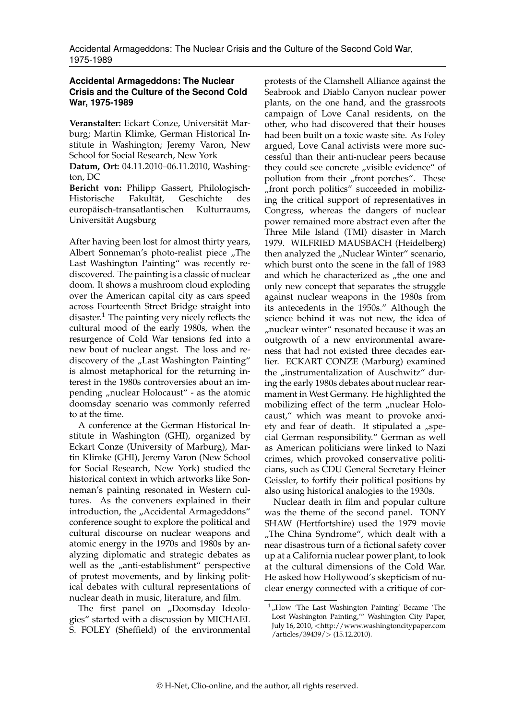## **Accidental Armageddons: The Nuclear Crisis and the Culture of the Second Cold War, 1975-1989**

**Veranstalter:** Eckart Conze, Universität Marburg; Martin Klimke, German Historical Institute in Washington; Jeremy Varon, New School for Social Research, New York

**Datum, Ort:** 04.11.2010–06.11.2010, Washington, DC

**Bericht von:** Philipp Gassert, Philologisch-Historische Fakultät, Geschichte des europäisch-transatlantischen Kulturraums, Universität Augsburg

After having been lost for almost thirty years, Albert Sonneman's photo-realist piece "The Last Washington Painting" was recently rediscovered. The painting is a classic of nuclear doom. It shows a mushroom cloud exploding over the American capital city as cars speed across Fourteenth Street Bridge straight into disaster.[1](#page-0-0) The painting very nicely reflects the cultural mood of the early 1980s, when the resurgence of Cold War tensions fed into a new bout of nuclear angst. The loss and rediscovery of the "Last Washington Painting" is almost metaphorical for the returning interest in the 1980s controversies about an impending "nuclear Holocaust" - as the atomic doomsday scenario was commonly referred to at the time.

A conference at the German Historical Institute in Washington (GHI), organized by Eckart Conze (University of Marburg), Martin Klimke (GHI), Jeremy Varon (New School for Social Research, New York) studied the historical context in which artworks like Sonneman's painting resonated in Western cultures. As the conveners explained in their introduction, the "Accidental Armageddons" conference sought to explore the political and cultural discourse on nuclear weapons and atomic energy in the 1970s and 1980s by analyzing diplomatic and strategic debates as well as the "anti-establishment" perspective of protest movements, and by linking political debates with cultural representations of nuclear death in music, literature, and film.

The first panel on "Doomsday Ideologies" started with a discussion by MICHAEL S. FOLEY (Sheffield) of the environmental protests of the Clamshell Alliance against the Seabrook and Diablo Canyon nuclear power plants, on the one hand, and the grassroots campaign of Love Canal residents, on the other, who had discovered that their houses had been built on a toxic waste site. As Foley argued, Love Canal activists were more successful than their anti-nuclear peers because they could see concrete "visible evidence" of pollution from their "front porches". These "front porch politics" succeeded in mobilizing the critical support of representatives in Congress, whereas the dangers of nuclear power remained more abstract even after the Three Mile Island (TMI) disaster in March 1979. WILFRIED MAUSBACH (Heidelberg) then analyzed the "Nuclear Winter" scenario, which burst onto the scene in the fall of 1983 and which he characterized as "the one and only new concept that separates the struggle against nuclear weapons in the 1980s from its antecedents in the 1950s." Although the science behind it was not new, the idea of "nuclear winter" resonated because it was an outgrowth of a new environmental awareness that had not existed three decades earlier. ECKART CONZE (Marburg) examined the "instrumentalization of Auschwitz" during the early 1980s debates about nuclear rearmament in West Germany. He highlighted the mobilizing effect of the term "nuclear Holocaust," which was meant to provoke anxiety and fear of death. It stipulated a "special German responsibility." German as well as American politicians were linked to Nazi crimes, which provoked conservative politicians, such as CDU General Secretary Heiner Geissler, to fortify their political positions by also using historical analogies to the 1930s.

Nuclear death in film and popular culture was the theme of the second panel. TONY SHAW (Hertfortshire) used the 1979 movie "The China Syndrome", which dealt with a near disastrous turn of a fictional safety cover up at a California nuclear power plant, to look at the cultural dimensions of the Cold War. He asked how Hollywood's skepticism of nuclear energy connected with a critique of cor-

<span id="page-0-0"></span> $1$ <sub>n</sub>How 'The Last Washington Painting' Became 'The Lost Washington Painting,'" Washington City Paper, July 16, 2010, <[http://www.washingtoncitypaper.com](http://www.washingtoncitypaper.com/articles/39439/) [/articles/39439/](http://www.washingtoncitypaper.com/articles/39439/)> (15.12.2010).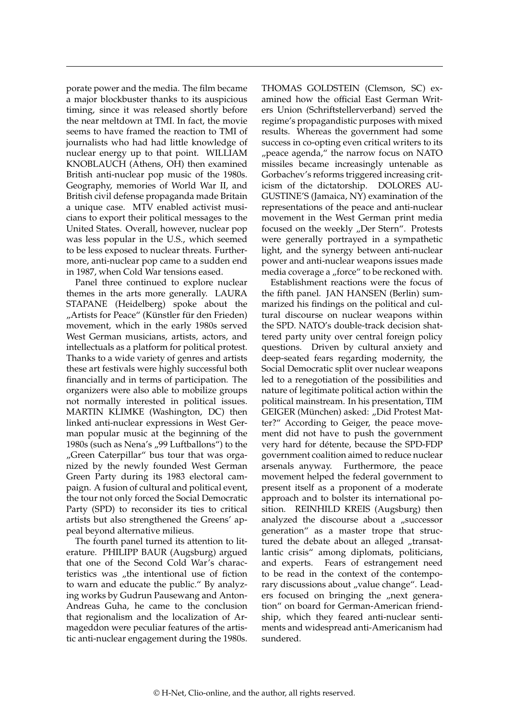porate power and the media. The film became a major blockbuster thanks to its auspicious timing, since it was released shortly before the near meltdown at TMI. In fact, the movie seems to have framed the reaction to TMI of journalists who had had little knowledge of nuclear energy up to that point. WILLIAM KNOBLAUCH (Athens, OH) then examined British anti-nuclear pop music of the 1980s. Geography, memories of World War II, and British civil defense propaganda made Britain a unique case. MTV enabled activist musicians to export their political messages to the United States. Overall, however, nuclear pop was less popular in the U.S., which seemed to be less exposed to nuclear threats. Furthermore, anti-nuclear pop came to a sudden end in 1987, when Cold War tensions eased.

Panel three continued to explore nuclear themes in the arts more generally. LAURA STAPANE (Heidelberg) spoke about the "Artists for Peace" (Künstler für den Frieden) movement, which in the early 1980s served West German musicians, artists, actors, and intellectuals as a platform for political protest. Thanks to a wide variety of genres and artists these art festivals were highly successful both financially and in terms of participation. The organizers were also able to mobilize groups not normally interested in political issues. MARTIN KLIMKE (Washington, DC) then linked anti-nuclear expressions in West German popular music at the beginning of the 1980s (such as Nena's "99 Luftballons") to the "Green Caterpillar" bus tour that was organized by the newly founded West German Green Party during its 1983 electoral campaign. A fusion of cultural and political event, the tour not only forced the Social Democratic Party (SPD) to reconsider its ties to critical artists but also strengthened the Greens' appeal beyond alternative milieus.

The fourth panel turned its attention to literature. PHILIPP BAUR (Augsburg) argued that one of the Second Cold War's characteristics was "the intentional use of fiction to warn and educate the public." By analyzing works by Gudrun Pausewang and Anton-Andreas Guha, he came to the conclusion that regionalism and the localization of Armageddon were peculiar features of the artistic anti-nuclear engagement during the 1980s. THOMAS GOLDSTEIN (Clemson, SC) examined how the official East German Writers Union (Schriftstellerverband) served the regime's propagandistic purposes with mixed results. Whereas the government had some success in co-opting even critical writers to its "peace agenda," the narrow focus on NATO missiles became increasingly untenable as Gorbachev's reforms triggered increasing criticism of the dictatorship. DOLORES AU-GUSTINE'S (Jamaica, NY) examination of the representations of the peace and anti-nuclear movement in the West German print media focused on the weekly "Der Stern". Protests were generally portrayed in a sympathetic light, and the synergy between anti-nuclear power and anti-nuclear weapons issues made media coverage a "force" to be reckoned with.

Establishment reactions were the focus of the fifth panel. JAN HANSEN (Berlin) summarized his findings on the political and cultural discourse on nuclear weapons within the SPD. NATO's double-track decision shattered party unity over central foreign policy questions. Driven by cultural anxiety and deep-seated fears regarding modernity, the Social Democratic split over nuclear weapons led to a renegotiation of the possibilities and nature of legitimate political action within the political mainstream. In his presentation, TIM GEIGER (München) asked: "Did Protest Matter?" According to Geiger, the peace movement did not have to push the government very hard for détente, because the SPD-FDP government coalition aimed to reduce nuclear arsenals anyway. Furthermore, the peace movement helped the federal government to present itself as a proponent of a moderate approach and to bolster its international position. REINHILD KREIS (Augsburg) then analyzed the discourse about a  $\mu$ successor generation" as a master trope that structured the debate about an alleged "transatlantic crisis" among diplomats, politicians, and experts. Fears of estrangement need to be read in the context of the contemporary discussions about "value change". Leaders focused on bringing the "next generation" on board for German-American friendship, which they feared anti-nuclear sentiments and widespread anti-Americanism had sundered.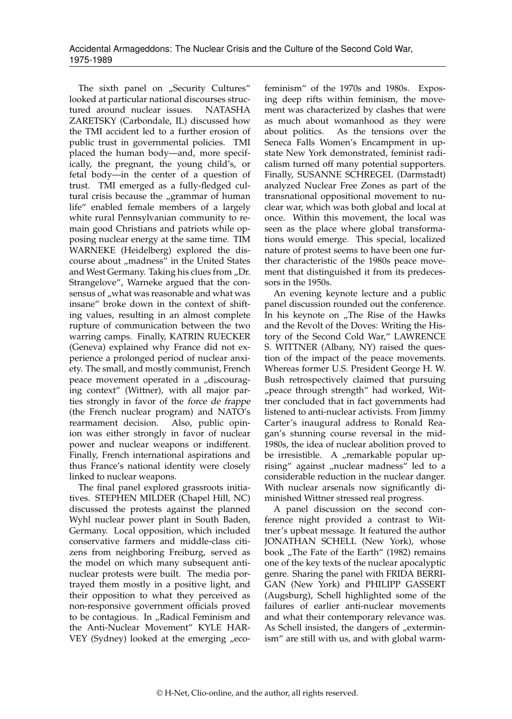The sixth panel on "Security Cultures" looked at particular national discourses structured around nuclear issues. NATASHA ZARETSKY (Carbondale, IL) discussed how the TMI accident led to a further erosion of public trust in governmental policies. TMI placed the human body—and, more specifically, the pregnant, the young child's, or fetal body—in the center of a question of trust. TMI emerged as a fully-fledged cultural crisis because the "grammar of human life" enabled female members of a largely white rural Pennsylvanian community to remain good Christians and patriots while opposing nuclear energy at the same time. TIM WARNEKE (Heidelberg) explored the discourse about "madness" in the United States and West Germany. Taking his clues from "Dr. Strangelove", Warneke argued that the consensus of "what was reasonable and what was insane" broke down in the context of shifting values, resulting in an almost complete rupture of communication between the two warring camps. Finally, KATRIN RUECKER (Geneva) explained why France did not experience a prolonged period of nuclear anxiety. The small, and mostly communist, French peace movement operated in a "discouraging context" (Wittner), with all major parties strongly in favor of the force de frappe (the French nuclear program) and NATO's rearmament decision. Also, public opinion was either strongly in favor of nuclear power and nuclear weapons or indifferent. Finally, French international aspirations and thus France's national identity were closely linked to nuclear weapons.

The final panel explored grassroots initiatives. STEPHEN MILDER (Chapel Hill, NC) discussed the protests against the planned Wyhl nuclear power plant in South Baden, Germany. Local opposition, which included conservative farmers and middle-class citizens from neighboring Freiburg, served as the model on which many subsequent antinuclear protests were built. The media portrayed them mostly in a positive light, and their opposition to what they perceived as non-responsive government officials proved to be contagious. In "Radical Feminism and the Anti-Nuclear Movement" KYLE HAR-VEY (Sydney) looked at the emerging "ecofeminism" of the 1970s and 1980s. Exposing deep rifts within feminism, the movement was characterized by clashes that were as much about womanhood as they were about politics. As the tensions over the Seneca Falls Women's Encampment in upstate New York demonstrated, feminist radicalism turned off many potential supporters. Finally, SUSANNE SCHREGEL (Darmstadt) analyzed Nuclear Free Zones as part of the transnational oppositional movement to nuclear war, which was both global and local at once. Within this movement, the local was seen as the place where global transformations would emerge. This special, localized nature of protest seems to have been one further characteristic of the 1980s peace movement that distinguished it from its predecessors in the 1950s.

An evening keynote lecture and a public panel discussion rounded out the conference. In his keynote on "The Rise of the Hawks and the Revolt of the Doves: Writing the History of the Second Cold War," LAWRENCE S. WITTNER (Albany, NY) raised the question of the impact of the peace movements. Whereas former U.S. President George H. W. Bush retrospectively claimed that pursuing "peace through strength" had worked, Wittner concluded that in fact governments had listened to anti-nuclear activists. From Jimmy Carter's inaugural address to Ronald Reagan's stunning course reversal in the mid-1980s, the idea of nuclear abolition proved to be irresistible. A "remarkable popular uprising" against "nuclear madness" led to a considerable reduction in the nuclear danger. With nuclear arsenals now significantly diminished Wittner stressed real progress.

A panel discussion on the second conference night provided a contrast to Wittner's upbeat message. It featured the author JONATHAN SCHELL (New York), whose book "The Fate of the Earth" (1982) remains one of the key texts of the nuclear apocalyptic genre. Sharing the panel with FRIDA BERRI-GAN (New York) and PHILIPP GASSERT (Augsburg), Schell highlighted some of the failures of earlier anti-nuclear movements and what their contemporary relevance was. As Schell insisted, the dangers of "exterminism" are still with us, and with global warm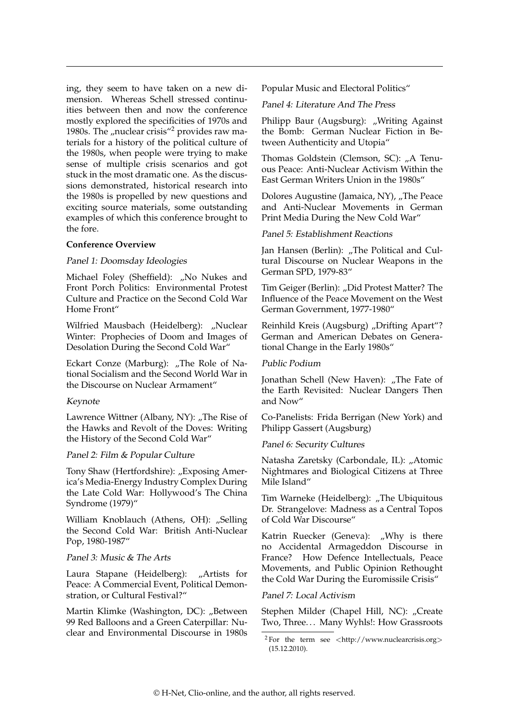ing, they seem to have taken on a new dimension. Whereas Schell stressed continuities between then and now the conference mostly explored the specificities of 1970s and 1980s. The "nuclear crisis"<sup>[2](#page-3-0)</sup> provides raw materials for a history of the political culture of the 1980s, when people were trying to make sense of multiple crisis scenarios and got stuck in the most dramatic one. As the discussions demonstrated, historical research into the 1980s is propelled by new questions and exciting source materials, some outstanding examples of which this conference brought to the fore.

#### **Conference Overview**

### Panel 1: Doomsday Ideologies

Michael Foley (Sheffield): "No Nukes and Front Porch Politics: Environmental Protest Culture and Practice on the Second Cold War Home Front"

Wilfried Mausbach (Heidelberg): "Nuclear Winter: Prophecies of Doom and Images of Desolation During the Second Cold War"

Eckart Conze (Marburg): "The Role of National Socialism and the Second World War in the Discourse on Nuclear Armament"

# Keynote

Lawrence Wittner (Albany, NY): "The Rise of the Hawks and Revolt of the Doves: Writing the History of the Second Cold War"

#### Panel 2: Film & Popular Culture

Tony Shaw (Hertfordshire): "Exposing America's Media-Energy Industry Complex During the Late Cold War: Hollywood's The China Syndrome (1979)"

William Knoblauch (Athens, OH): "Selling the Second Cold War: British Anti-Nuclear Pop, 1980-1987"

#### Panel 3: Music & The Arts

Laura Stapane (Heidelberg): "Artists for Peace: A Commercial Event, Political Demonstration, or Cultural Festival?"

Martin Klimke (Washington, DC): "Between 99 Red Balloons and a Green Caterpillar: Nuclear and Environmental Discourse in 1980s Popular Music and Electoral Politics"

Panel 4: Literature And The Press

Philipp Baur (Augsburg): "Writing Against the Bomb: German Nuclear Fiction in Between Authenticity and Utopia"

Thomas Goldstein (Clemson, SC): "A Tenuous Peace: Anti-Nuclear Activism Within the East German Writers Union in the 1980s"

Dolores Augustine (Jamaica, NY), "The Peace and Anti-Nuclear Movements in German Print Media During the New Cold War"

Panel 5: Establishment Reactions

Jan Hansen (Berlin): "The Political and Cultural Discourse on Nuclear Weapons in the German SPD, 1979-83"

Tim Geiger (Berlin): "Did Protest Matter? The Influence of the Peace Movement on the West German Government, 1977-1980"

Reinhild Kreis (Augsburg) "Drifting Apart"? German and American Debates on Generational Change in the Early 1980s"

## Public Podium

Jonathan Schell (New Haven): "The Fate of the Earth Revisited: Nuclear Dangers Then and Now"

Co-Panelists: Frida Berrigan (New York) and Philipp Gassert (Augsburg)

Panel 6: Security Cultures

Natasha Zaretsky (Carbondale, IL): "Atomic Nightmares and Biological Citizens at Three Mile Island"

Tim Warneke (Heidelberg): "The Ubiquitous Dr. Strangelove: Madness as a Central Topos of Cold War Discourse"

Katrin Ruecker (Geneva): "Why is there no Accidental Armageddon Discourse in France? How Defence Intellectuals, Peace Movements, and Public Opinion Rethought the Cold War During the Euromissile Crisis"

# Panel 7: Local Activism

Stephen Milder (Chapel Hill, NC): "Create Two, Three. . . Many Wyhls!: How Grassroots

<span id="page-3-0"></span> $2$  For the term see <[http://www.nuclearcrisis.org](http://www.nuclearcrisis.org/)> (15.12.2010).